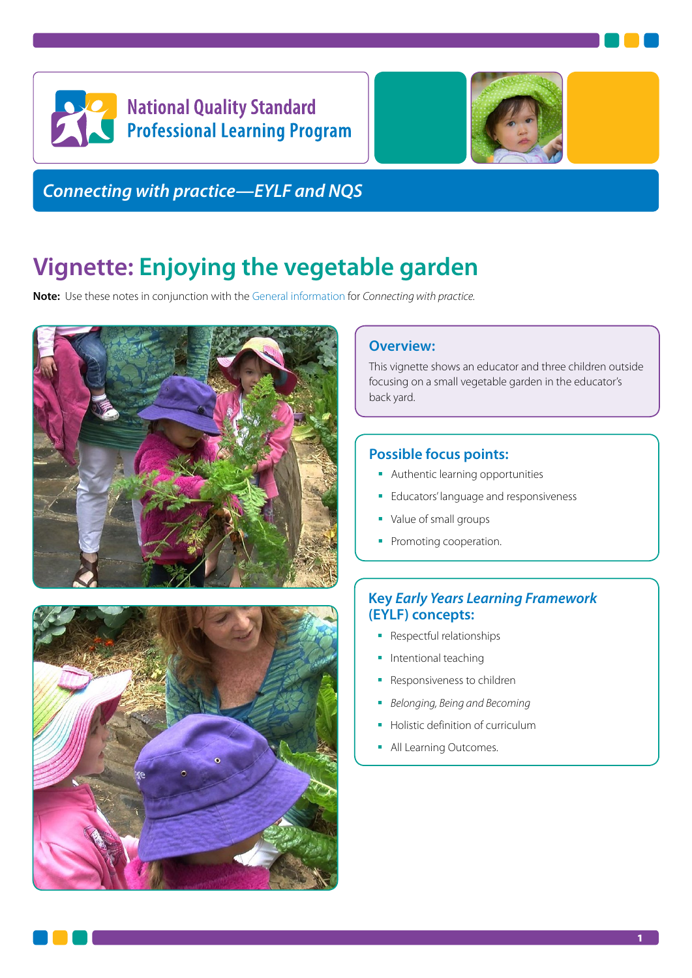



*Connecting with practice—EYLF and NQS*

# **Vignette: Enjoying the vegetable garden**

**Note:** Use these notes in conjunction with the [General information](https://www.acecqa.gov.au/media/30216) for *Connecting with practice.*





### **Overview:**

This vignette shows an educator and three children outside focusing on a small vegetable garden in the educator's back yard.

## **Possible focus points:**

- **Authentic learning opportunities**
- **Educators' language and responsiveness**
- Value of small groups
- Promoting cooperation.

# **Key** *Early Years Learning Framework* **(EYLF) concepts:**

- **Respectful relationships**
- **Intentional teaching**
- **Responsiveness to children**
- *Belonging, Being and Becoming*
- Holistic definition of curriculum
- **All Learning Outcomes.**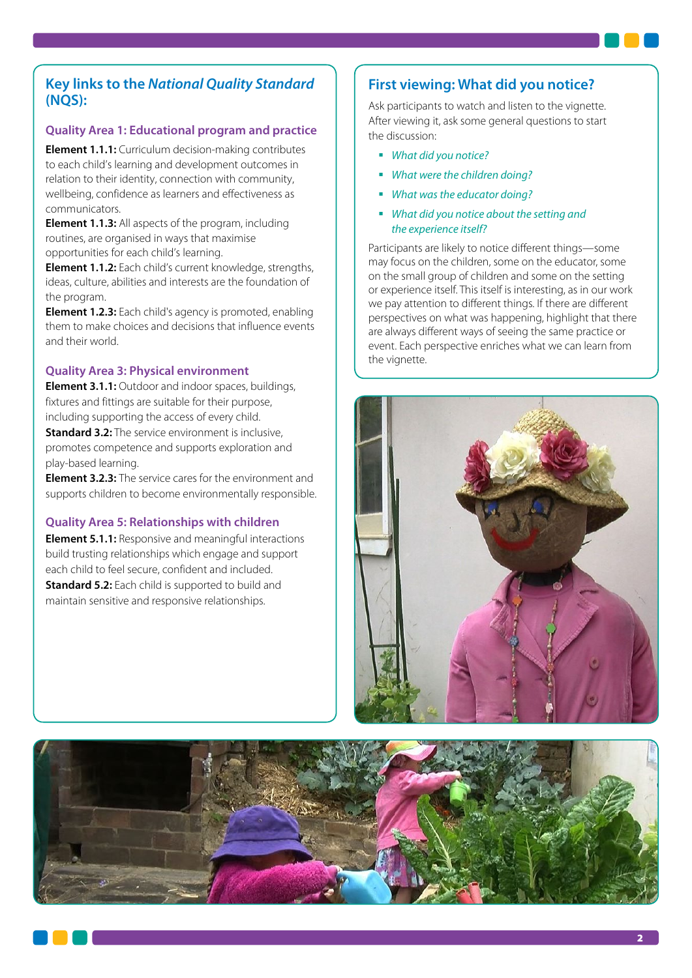## **Key links to the** *National Quality Standard*  **(NQS):**

#### **Quality Area 1: Educational program and practice**

**Element 1.1.1:** Curriculum decision-making contributes to each child's learning and development outcomes in relation to their identity, connection with community, wellbeing, confidence as learners and effectiveness as communicators.

**Element 1.1.3:** All aspects of the program, including routines, are organised in ways that maximise opportunities for each child's learning.

**Element 1.1.2:** Each child's current knowledge, strengths, ideas, culture, abilities and interests are the foundation of the program.

**Element 1.2.3:** Each child's agency is promoted, enabling them to make choices and decisions that influence events and their world.

#### **Quality Area 3: Physical environment**

**Element 3.1.1:** Outdoor and indoor spaces, buildings, fixtures and fittings are suitable for their purpose, including supporting the access of every child.

**Standard 3.2:** The service environment is inclusive, promotes competence and supports exploration and play-based learning.

**Element 3.2.3:** The service cares for the environment and supports children to become environmentally responsible.

#### **Quality Area 5: Relationships with children**

**Element 5.1.1:** Responsive and meaningful interactions build trusting relationships which engage and support each child to feel secure, confident and included. **Standard 5.2:** Each child is supported to build and maintain sensitive and responsive relationships.

## **First viewing: What did you notice?**

Ask participants to watch and listen to the vignette. After viewing it, ask some general questions to start the discussion:

- *What did you notice?*
- *What were the children doing?*
- *What was the educator doing?*
- *What did you notice about the setting and the experience itself?*

Participants are likely to notice different things—some may focus on the children, some on the educator, some on the small group of children and some on the setting or experience itself. This itself is interesting, as in our work we pay attention to different things. If there are different perspectives on what was happening, highlight that there are always different ways of seeing the same practice or event. Each perspective enriches what we can learn from the vianette.